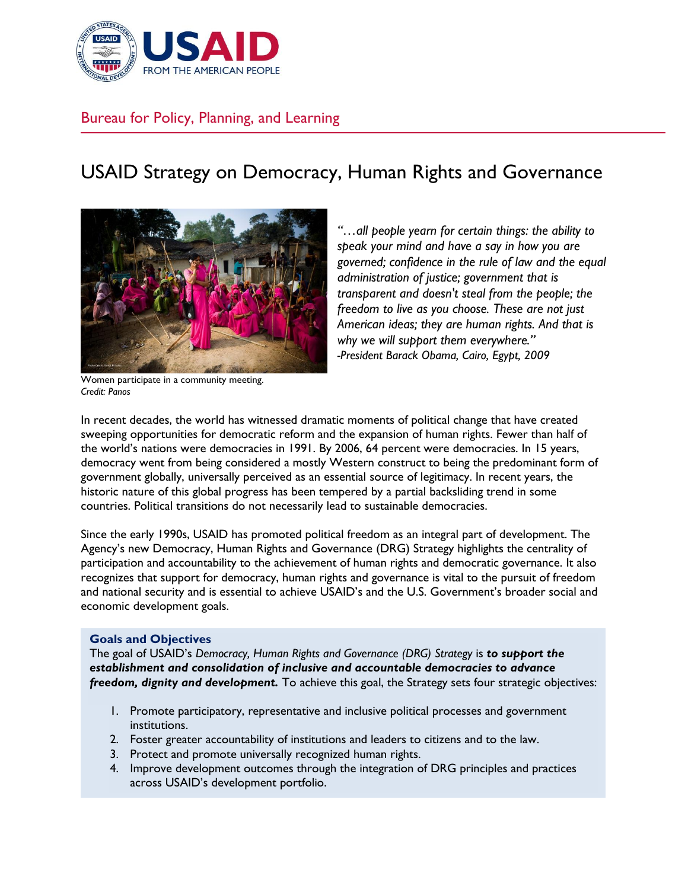

# Bureau for Policy, Planning, and Learning

# USAID Strategy on Democracy, Human Rights and Governance



Women participate in a community meeting. *Credit: Panos*

*"…all people yearn for certain things: the ability to speak your mind and have a say in how you are governed; confidence in the rule of law and the equal administration of justice; government that is transparent and doesn't steal from the people; the freedom to live as you choose. These are not just American ideas; they are human rights. And that is why we will support them everywhere." -President Barack Obama, Cairo, Egypt, 2009*

In recent decades, the world has witnessed dramatic moments of political change that have created sweeping opportunities for democratic reform and the expansion of human rights. Fewer than half of the world's nations were democracies in 1991. By 2006, 64 percent were democracies. In 15 years, democracy went from being considered a mostly Western construct to being the predominant form of government globally, universally perceived as an essential source of legitimacy. In recent years, the historic nature of this global progress has been tempered by a partial backsliding trend in some countries. Political transitions do not necessarily lead to sustainable democracies.

Since the early 1990s, USAID has promoted political freedom as an integral part of development. The Agency's new Democracy, Human Rights and Governance (DRG) Strategy highlights the centrality of participation and accountability to the achievement of human rights and democratic governance. It also recognizes that support for democracy, human rights and governance is vital to the pursuit of freedom and national security and is essential to achieve USAID's and the U.S. Government's broader social and economic development goals.

## **Goals and Objectives**

The goal of USAID's *Democracy, Human Rights and Governance (DRG) Strategy* is *to support the establishment and consolidation of inclusive and accountable democracies to advance freedom, dignity and development.* To achieve this goal, the Strategy sets four strategic objectives:

- 1. Promote participatory, representative and inclusive political processes and government institutions.
- 2. Foster greater accountability of institutions and leaders to citizens and to the law.
- 3. Protect and promote universally recognized human rights.
- 4. Improve development outcomes through the integration of DRG principles and practices across USAID's development portfolio.